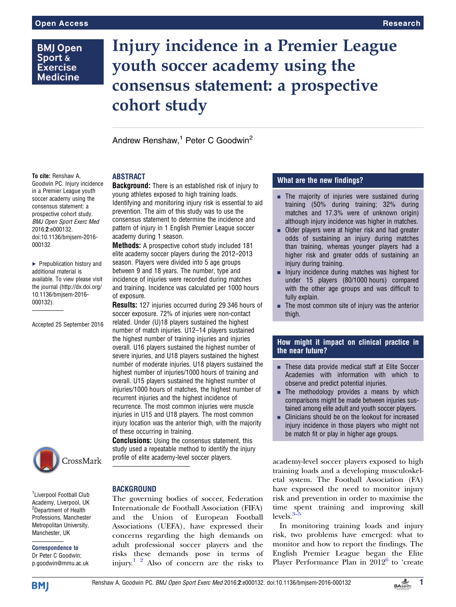## **BMJ Open** Sport & **Exercise Medicine**

# Injury incidence in a Premier League youth soccer academy using the consensus statement: a prospective cohort study

Andrew Renshaw,<sup>1</sup> Peter C Goodwin<sup>2</sup>

#### To cite: Renshaw A,

Goodwin PC. Injury incidence in a Premier League youth soccer academy using the consensus statement: a prospective cohort study. BMJ Open Sport Exerc Med 2016;2:e000132. doi:10.1136/bmjsem-2016- 000132

▶ Prepublication history and additional material is available. To view please visit the journal [\(http://dx.doi.org/](http://dx.doi.org/10.1136/bmjsem-2016-000132) [10.1136/bmjsem-2016-](http://dx.doi.org/10.1136/bmjsem-2016-000132) [000132\)](http://dx.doi.org/10.1136/bmjsem-2016-000132).

Accepted 25 September 2016



<sup>1</sup> Liverpool Football Club Academy, Liverpool, UK <sup>2</sup>Department of Health Professions, Manchester Metropolitan University, Manchester, UK

Correspondence to Dr Peter C Goodwin; p.goodwin@mmu.ac.uk

## ABSTRACT

**Background:** There is an established risk of injury to young athletes exposed to high training loads. Identifying and monitoring injury risk is essential to aid prevention. The aim of this study was to use the consensus statement to determine the incidence and pattern of injury in 1 English Premier League soccer academy during 1 season.

Methods: A prospective cohort study included 181 elite academy soccer players during the 2012–2013 season. Players were divided into 5 age groups between 9 and 18 years. The number, type and incidence of injuries were recorded during matches and training. Incidence was calculated per 1000 hours of exposure.

Results: 127 injuries occurred during 29 346 hours of soccer exposure. 72% of injuries were non-contact related. Under (U)18 players sustained the highest number of match injuries. U12–14 players sustained the highest number of training injuries and injuries overall. U16 players sustained the highest number of severe injuries, and U18 players sustained the highest number of moderate injuries. U18 players sustained the highest number of injuries/1000 hours of training and overall. U15 players sustained the highest number of injuries/1000 hours of matches, the highest number of recurrent injuries and the highest incidence of recurrence. The most common injuries were muscle injuries in U15 and U18 players. The most common injury location was the anterior thigh, with the majority of these occurring in training.

**Conclusions:** Using the consensus statement, this study used a repeatable method to identify the injury profile of elite academy-level soccer players.

#### BACKGROUND

The governing bodies of soccer, Federation Internationale de Football Association (FIFA) and the Union of European Football Associations (UEFA), have expressed their concerns regarding the high demands on adult professional soccer players and the risks these demands pose in terms of injury.<sup>[1 2](#page-5-0)</sup> Also of concern are the risks to

## What are the new findings?

- $\blacksquare$  The majority of injuries were sustained during training (50% during training; 32% during matches and 17.3% were of unknown origin) although injury incidence was higher in matches.
- $\blacksquare$  Older players were at higher risk and had greater odds of sustaining an injury during matches than training, whereas younger players had a higher risk and greater odds of sustaining an injury during training.
- $\blacksquare$  Injury incidence during matches was highest for under 15 players (80/1000 hours) compared with the other age groups and was difficult to fully explain.
- $\blacksquare$  The most common site of injury was the anterior thigh.

### How might it impact on clinical practice in the near future?

- These data provide medical staff at Elite Soccer Academies with information with which to observe and predict potential injuries.
- $\blacksquare$  The methodology provides a means by which comparisons might be made between injuries sustained among elite adult and youth soccer players.
- $\blacksquare$  Clinicians should be on the lookout for increased injury incidence in those players who might not be match fit or play in higher age groups.

academy-level soccer players exposed to high training loads and a developing musculoskeletal system. The Football Association (FA) have expressed the need to monitor injury risk and prevention in order to maximise the time [sp](#page-5-0)ent training and improving skill  $levels<sup>3</sup>$ 

In monitoring training loads and injury risk, two problems have emerged: what to monitor and how to report the findings. The English Premier League began the Elite Player Performance Plan in  $2012^6$  $2012^6$  to 'create

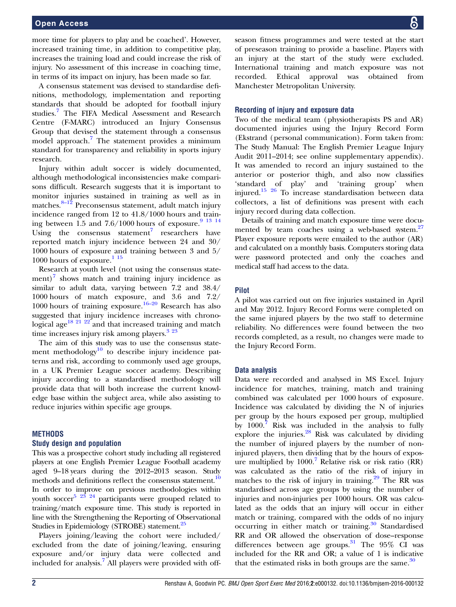#### Open Access

more time for players to play and be coached'. However, increased training time, in addition to competitive play, increases the training load and could increase the risk of injury. No assessment of this increase in coaching time, in terms of its impact on injury, has been made so far.

A consensus statement was devised to standardise definitions, methodology, implementation and reporting standards that should be adopted for football injury studies.<sup>[7](#page-5-0)</sup> The FIFA Medical Assessment and Research Centre (F-MARC) introduced an Injury Consensus Group that devised the statement through a consensus model approach.<sup>[7](#page-5-0)</sup> The statement provides a minimum standard for transparency and reliability in sports injury research.

Injury within adult soccer is widely documented, although methodological inconsistencies make comparisons difficult. Research suggests that it is important to monitor injuries sustained in training as well as in matches.<sup>8–[12](#page-5-0)</sup> Preconsensus statement, adult match injury incidence ranged from 12 to 41.8/1000 hours and training between 1.5 and  $7.6/1000$  hours of exposure.<sup>9</sup> <sup>13</sup> <sup>14</sup> Using the consensus statement<sup>[7](#page-5-0)</sup> researchers have reported match injury incidence between 24 and 30/ 1000 hours of exposure and training between 3 and 5/  $1000$  hours of exposure.<sup>115</sup>

Research at youth level (not using the consensus statement) $\frac{7}{7}$  $\frac{7}{7}$  $\frac{7}{7}$  shows match and training injury incidence as similar to adult data, varying between 7.2 and 38.4/ 1000 hours of match exposure, and 3.6 and 7.2/ 1000 hours of training exposure.<sup>[16](#page-5-0)–20</sup> Research has also suggested that injury incidence increases with chrono-logical age<sup>[18 21 22](#page-5-0)</sup> and that increased training and match time increases injury risk among players.<sup>[3 23](#page-5-0)</sup>

The aim of this study was to use the consensus statement methodology $10$  to describe injury incidence patterns and risk, according to commonly used age groups, in a UK Premier League soccer academy. Describing injury according to a standardised methodology will provide data that will both increase the current knowledge base within the subject area, while also assisting to reduce injuries within specific age groups.

#### **METHODS**

#### Study design and population

This was a prospective cohort study including all registered players at one English Premier League Football academy aged 9–18 years during the 2012–2013 season. Study methods and definitions reflect the consensus statement.<sup>10</sup> In order to improve on previous methodologies within youth soccer<sup>5 23 24</sup> participants were grouped related to training/match exposure time. This study is reported in line with the Strengthening the Reporting of Observational Studies in Epidemiology (STROBE) statement.<sup>[25](#page-5-0)</sup>

Players joining/leaving the cohort were included/ excluded from the date of joining/leaving, ensuring exposure and/or injury data were collected and included for analysis.<sup>[7](#page-5-0)</sup> All players were provided with offseason fitness programmes and were tested at the start of preseason training to provide a baseline. Players with an injury at the start of the study were excluded. International training and match exposure was not recorded. Ethical approval was obtained from Manchester Metropolitan University.

#### Recording of injury and exposure data

Two of the medical team (physiotherapists PS and AR) documented injuries using the Injury Record Form (Ekstrand (personal communication). Form taken from: The Study Manual: The English Premier League Injury Audit 2011–2014; see online [supplementary appendix\)](http://dx.doi.org/10.1136/bmjsem-2016-000132). It was amended to record an injury sustained to the anterior or posterior thigh, and also now classifies 'standard of play' and 'training group' when injured.[15 26](#page-5-0) To increase standardisation between data collectors, a list of definitions was present with each injury record during data collection.

Details of training and match exposure time were documented by team coaches using a web-based system.<sup>27</sup> Player exposure reports were emailed to the author (AR) and calculated on a monthly basis. Computers storing data were password protected and only the coaches and medical staff had access to the data.

#### Pilot

A pilot was carried out on five injuries sustained in April and May 2012. Injury Record Forms were completed on the same injured players by the two staff to determine reliability. No differences were found between the two records completed, as a result, no changes were made to the Injury Record Form.

#### Data analysis

Data were recorded and analysed in MS Excel. Injury incidence for matches, training, match and training combined was calculated per 1000 hours of exposure. Incidence was calculated by dividing the N of injuries per group by the hours exposed per group, multiplied by 1000.[7](#page-5-0) Risk was included in the analysis to fully explore the injuries. $^{28}$  $^{28}$  $^{28}$  Risk was calculated by dividing the number of injured players by the number of noninjured players, then dividing that by the hours of exposure multiplied by  $1000$ .<sup>[7](#page-5-0)</sup> Relative risk or risk ratio (RR) was calculated as the ratio of the risk of injury in matches to the risk of injury in training. $29$  The RR was standardised across age groups by using the number of injuries and non-injuries per 1000 hours. OR was calculated as the odds that an injury will occur in either match or training, compared with the odds of no injury occurring in either match or training. $30$  Standardised RR and OR allowed the observation of dose–response differences between age groups. $31$  The 95% CI was included for the RR and OR; a value of 1 is indicative that the estimated risks in both groups are the same. $30$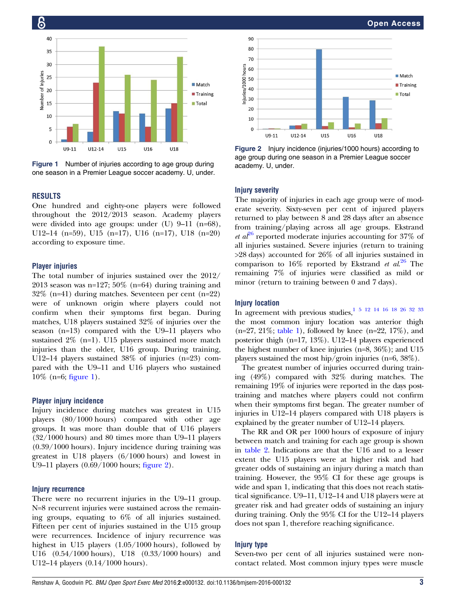

Figure 1 Number of injuries according to age group during academy. U, under. one season in a Premier League soccer academy. U, under.

#### RESULTS

16

One hundred and eighty-one players were followed throughout the 2012/2013 season. Academy players were divided into age groups: under (U) 9–11 (n=68), U12–14 (n=59), U15 (n=17), U16 (n=17), U18 (n=20) according to exposure time.

#### Player injuries

The total number of injuries sustained over the 2012/ 2013 season was n=127; 50% (n=64) during training and 32% (n=41) during matches. Seventeen per cent (n=22) were of unknown origin where players could not confirm when their symptoms first began. During matches, U18 players sustained 32% of injuries over the season (n=13) compared with the U9–11 players who sustained 2% (n=1). U15 players sustained more match injuries than the older, U16 group. During training, U12–14 players sustained 38% of injuries (n=23) compared with the U9–11 and U16 players who sustained 10% (n=6; figure 1).

#### Player injury incidence

Injury incidence during matches was greatest in U15 players (80/1000 hours) compared with other age groups. It was more than double that of U16 players (32/1000 hours) and 80 times more than U9–11 players (0.39/1000 hours). Injury incidence during training was greatest in U18 players (6/1000 hours) and lowest in U9–11 players (0.69/1000 hours; figure 2).

#### Injury recurrence

There were no recurrent injuries in the U9–11 group. N=8 recurrent injuries were sustained across the remaining groups, equating to 6% of all injuries sustained. Fifteen per cent of injuries sustained in the U15 group were recurrences. Incidence of injury recurrence was highest in U15 players (1.05/1000 hours), followed by U16 (0.54/1000 hours), U18 (0.33/1000 hours) and U12–14 players (0.14/1000 hours).



Figure 2 Injury incidence (injuries/1000 hours) according to age group during one season in a Premier League soccer

#### **Injury severity**

The majority of injuries in each age group were of moderate severity. Sixty-seven per cent of injured players returned to play between 8 and 28 days after an absence from training/playing across all age groups. Ekstrand *et al*<sup>[26](#page-5-0)</sup> reported moderate injuries accounting for 37\% of all injuries sustained. Severe injuries (return to training >28 days) accounted for 26% of all injuries sustained in comparison to  $16\%$  reported by Ekstrand et  $al^{26}$  $al^{26}$  $al^{26}$  The remaining 7% of injuries were classified as mild or minor (return to training between 0 and 7 days).

#### Injury location

In agreement with previous studies,  $1\,$  5  $\,$  12  $\,$  14  $\,$  16  $\,$  18  $\,$  26  $\,$  32  $\,$  33 the most common injury location was anterior thigh  $(n=27, 21\%;$  [table 1](#page-3-0)), followed by knee  $(n=22, 17\%)$ , and posterior thigh (n=17, 13%). U12–14 players experienced the highest number of knee injuries (n=8, 36%); and U15 players sustained the most hip/groin injuries (n=6, 38%).

The greatest number of injuries occurred during training (49%) compared with 32% during matches. The remaining 19% of injuries were reported in the days posttraining and matches where players could not confirm when their symptoms first began. The greater number of injuries in U12–14 players compared with U18 players is explained by the greater number of U12–14 players.

The RR and OR per 1000 hours of exposure of injury between match and training for each age group is shown in [table 2.](#page-3-0) Indications are that the U16 and to a lesser extent the U15 players were at higher risk and had greater odds of sustaining an injury during a match than training. However, the 95% CI for these age groups is wide and span 1, indicating that this does not reach statistical significance. U9–11, U12–14 and U18 players were at greater risk and had greater odds of sustaining an injury during training. Only the 95% CI for the U12–14 players does not span 1, therefore reaching significance.

#### Injury type

Seven-two per cent of all injuries sustained were noncontact related. Most common injury types were muscle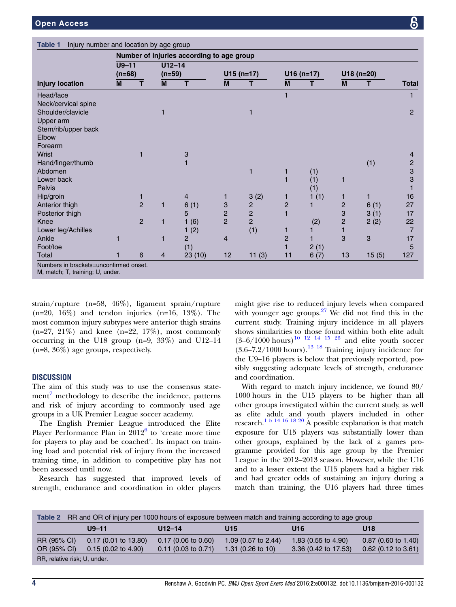<span id="page-3-0"></span>

|                        | Number of injuries according to age group |                |            |                |                |                |                |      |                |       |                |  |
|------------------------|-------------------------------------------|----------------|------------|----------------|----------------|----------------|----------------|------|----------------|-------|----------------|--|
|                        | $U9-11$                                   |                | $U12 - 14$ |                |                |                |                |      |                |       |                |  |
|                        | $(n=68)$                                  |                | $(n=59)$   |                | $U15(n=17)$    |                | $U16(n=17)$    |      | $U18(n=20)$    |       |                |  |
| <b>Injury location</b> | M                                         | т              | M          | T.             | M              | т              | M              | т    | M              | т     | <b>Total</b>   |  |
| Head/face              |                                           |                |            |                |                |                | 1              |      |                |       |                |  |
| Neck/cervical spine    |                                           |                |            |                |                |                |                |      |                |       |                |  |
| Shoulder/clavicle      |                                           |                | 1          |                |                | 1              |                |      |                |       | $\overline{2}$ |  |
| Upper arm              |                                           |                |            |                |                |                |                |      |                |       |                |  |
| Stern/rib/upper back   |                                           |                |            |                |                |                |                |      |                |       |                |  |
| Elbow                  |                                           |                |            |                |                |                |                |      |                |       |                |  |
| Forearm                |                                           |                |            |                |                |                |                |      |                |       |                |  |
| Wrist                  |                                           |                |            | 3              |                |                |                |      |                |       | 4              |  |
| Hand/finger/thumb      |                                           |                |            |                |                |                |                |      |                | (1)   | $\overline{c}$ |  |
| Abdomen                |                                           |                |            |                |                | 1              | 1              | (1)  |                |       | 3              |  |
| Lower back             |                                           |                |            |                |                |                |                | (1)  | 1              |       | 3              |  |
| <b>Pelvis</b>          |                                           |                |            |                |                |                |                | (1)  |                |       |                |  |
| Hip/groin              |                                           | 1              |            | 4              | 1              | 3(2)           |                | 1(1) | 1              | 1     | 16             |  |
| Anterior thigh         |                                           | $\overline{2}$ | 1          | 6(1)           | 3              | $\overline{c}$ | $\overline{c}$ |      | $\overline{c}$ | 6(1)  | 27             |  |
| Posterior thigh        |                                           |                |            | 5              | $\overline{c}$ | $\overline{c}$ |                |      | 3              | 3(1)  | 17             |  |
| Knee                   |                                           | $\overline{2}$ | 1          | 1(6)           | $\overline{2}$ | $\overline{c}$ |                | (2)  | $\overline{c}$ | 2(2)  | 22             |  |
| Lower leg/Achilles     |                                           |                |            | 1(2)           |                | (1)            | 1              |      | 1              |       | $\overline{7}$ |  |
| Ankle                  |                                           |                | 1          | $\overline{2}$ | $\overline{4}$ |                | $\overline{2}$ |      | 3              | 3     | 17             |  |
| Foot/toe               |                                           |                |            | (1)            |                |                |                | 2(1) |                |       | 5              |  |
| Total                  |                                           | 6              | 4          | 23(10)         | 12             | 11(3)          | 11             | 6(7) | 13             | 15(5) | 127            |  |

strain/rupture (n=58, 46%), ligament sprain/rupture  $(n=20, 16\%)$  and tendon injuries  $(n=16, 13\%)$ . The most common injury subtypes were anterior thigh strains  $(n=27, 21\%)$  and knee  $(n=22, 17\%)$ , most commonly occurring in the U18 group (n=9, 33%) and U12–14 (n=8, 36%) age groups, respectively.

#### **DISCUSSION**

The aim of this study was to use the consensus state- $ment<sup>7</sup>$  $ment<sup>7</sup>$  $ment<sup>7</sup>$  methodology to describe the incidence, patterns and risk of injury according to commonly used age groups in a UK Premier League soccer academy.

The English Premier League introduced the Elite Player Performance Plan in 2012<sup>[6](#page-5-0)</sup> to 'create more time for players to play and be coached'. Its impact on training load and potential risk of injury from the increased training time, in addition to competitive play has not been assessed until now.

Research has suggested that improved levels of strength, endurance and coordination in older players

might give rise to reduced injury levels when compared with younger age groups. $27$  We did not find this in the current study. Training injury incidence in all players shows similarities to those found within both elite adult  $(3-6/1000 \text{ hours})^{10}$  <sup>12</sup> <sup>14</sup> <sup>15</sup> <sup>26</sup> and elite youth soccer  $(3.6-7.2/1000$  hours).<sup>13</sup> <sup>18</sup> Training injury incidence for the U9–16 players is below that previously reported, possibly suggesting adequate levels of strength, endurance and coordination.

With regard to match injury incidence, we found 80/ 1000 hours in the U15 players to be higher than all other groups investigated within the current study, as well as elite adult and youth players included in other research.<sup>[1 5 14 16 18 20](#page-5-0)</sup> A possible explanation is that match exposure for U15 players was substantially lower than other groups, explained by the lack of a games programme provided for this age group by the Premier League in the 2012–2013 season. However, while the U16 and to a lesser extent the U15 players had a higher risk and had greater odds of sustaining an injury during a match than training, the U16 players had three times

| Table 2 RR and OR of injury per 1000 hours of exposure between match and training according to age group |                               |                               |                              |                      |                       |  |  |  |  |  |
|----------------------------------------------------------------------------------------------------------|-------------------------------|-------------------------------|------------------------------|----------------------|-----------------------|--|--|--|--|--|
|                                                                                                          | U9-11                         | U12–14                        | U <sub>15</sub>              | U16                  | U18                   |  |  |  |  |  |
| RR (95% CI)                                                                                              | $0.17(0.01)$ to 13.80)        | $0.17(0.06 \text{ to } 0.60)$ | 1.09 (0.57 to $2.44$ )       | 1.83 (0.55 to 4.90)  | $0.87$ (0.60 to 1.40) |  |  |  |  |  |
| OR (95% CI)                                                                                              | $0.15(0.02 \text{ to } 4.90)$ | $0.11$ (0.03 to 0.71)         | 1.31 $(0.26 \text{ to } 10)$ | 3.36 (0.42 to 17.53) | $0.62$ (0.12 to 3.61) |  |  |  |  |  |
| RR, relative risk; U, under.                                                                             |                               |                               |                              |                      |                       |  |  |  |  |  |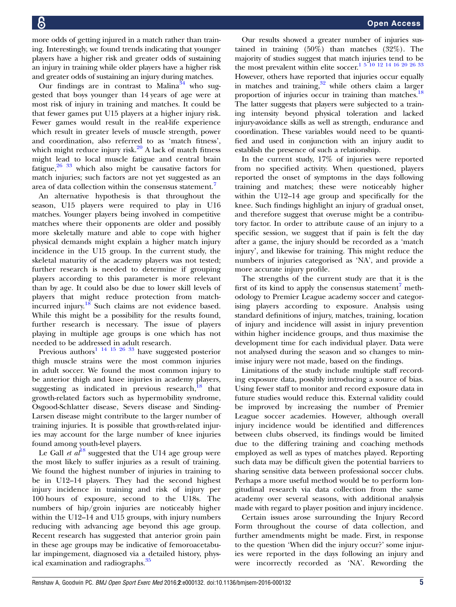more odds of getting injured in a match rather than training. Interestingly, we found trends indicating that younger players have a higher risk and greater odds of sustaining an injury in training while older players have a higher risk and greater odds of sustaining an injury during matches.

Our findings are in contrast to Malina<sup>[34](#page-5-0)</sup> who suggested that boys younger than 14 years of age were at most risk of injury in training and matches. It could be that fewer games put U15 players at a higher injury risk. Fewer games would result in the real-life experience which result in greater levels of muscle strength, power and coordination, also referred to as 'match fitness', which might reduce injury risk. $20$  A lack of match fitness might lead to local muscle fatigue and central brain fatigue, $26\frac{33}{3}$  which also might be causative factors for match injuries; such factors are not yet suggested as an area of data collection within the consensus statement.<sup>[7](#page-5-0)</sup>

An alternative hypothesis is that throughout the season, U15 players were required to play in U16 matches. Younger players being involved in competitive matches where their opponents are older and possibly more skeletally mature and able to cope with higher physical demands might explain a higher match injury incidence in the U15 group. In the current study, the skeletal maturity of the academy players was not tested; further research is needed to determine if grouping players according to this parameter is more relevant than by age. It could also be due to lower skill levels of players that might reduce protection from match-incurred injury.<sup>[18](#page-5-0)</sup> Such claims are not evidence based. While this might be a possibility for the results found, further research is necessary. The issue of players playing in multiple age groups is one which has not needed to be addressed in adult research.

Previous authors<sup>[1 14 15 26 33](#page-5-0)</sup> have suggested posterior thigh muscle strains were the most common injuries in adult soccer. We found the most common injury to be anterior thigh and knee injuries in academy players, suggesting as indicated in previous research, $^{18}$  $^{18}$  $^{18}$  that growth-related factors such as hypermobility syndrome, Osgood-Schlatter disease, Severs disease and Sinding-Larsen disease might contribute to the larger number of training injuries. It is possible that growth-related injuries may account for the large number of knee injuries found among youth-level players.

Le Gall *et al*<sup>[18](#page-5-0)</sup> suggested that the U14 age group were the most likely to suffer injuries as a result of training. We found the highest number of injuries in training to be in U12–14 players. They had the second highest injury incidence in training and risk of injury per 100 hours of exposure, second to the U18s. The numbers of hip/groin injuries are noticeably higher within the U12–14 and U15 groups, with injury numbers reducing with advancing age beyond this age group. Recent research has suggested that anterior groin pain in these age groups may be indicative of femoroacetabular impingement, diagnosed via a detailed history, phys-ical examination and radiographs.<sup>[35](#page-5-0)</sup>

Our results showed a greater number of injuries sustained in training (50%) than matches (32%). The majority of studies suggest that match injuries tend to be the most prevalent within elite soccer.<sup>1 5 10 12</sup> <sup>14</sup> <sup>16</sup> 20 <sup>26</sup> <sup>33</sup> However, others have reported that injuries occur equally in matches and training, $32$  while others claim a larger proportion of injuries occur in training than matches.<sup>18</sup> The latter suggests that players were subjected to a training intensity beyond physical toleration and lacked injury-avoidance skills as well as strength, endurance and coordination. These variables would need to be quantified and used in conjunction with an injury audit to establish the presence of such a relationship.

In the current study, 17% of injuries were reported from no specified activity. When questioned, players reported the onset of symptoms in the days following training and matches; these were noticeably higher within the U12–14 age group and specifically for the knee. Such findings highlight an injury of gradual onset, and therefore suggest that overuse might be a contributory factor. In order to attribute cause of an injury to a specific session, we suggest that if pain is felt the day after a game, the injury should be recorded as a 'match injury', and likewise for training. This might reduce the numbers of injuries categorised as 'NA', and provide a more accurate injury profile.

The strengths of the current study are that it is the first of its kind to apply the consensus statement<sup>[7](#page-5-0)</sup> methodology to Premier League academy soccer and categorising players according to exposure. Analysis using standard definitions of injury, matches, training, location of injury and incidence will assist in injury prevention within higher incidence groups, and thus maximise the development time for each individual player. Data were not analysed during the season and so changes to minimise injury were not made, based on the findings.

Limitations of the study include multiple staff recording exposure data, possibly introducing a source of bias. Using fewer staff to monitor and record exposure data in future studies would reduce this. External validity could be improved by increasing the number of Premier League soccer academies. However, although overall injury incidence would be identified and differences between clubs observed, its findings would be limited due to the differing training and coaching methods employed as well as types of matches played. Reporting such data may be difficult given the potential barriers to sharing sensitive data between professional soccer clubs. Perhaps a more useful method would be to perform longitudinal research via data collection from the same academy over several seasons, with additional analysis made with regard to player position and injury incidence.

Certain issues arose surrounding the Injury Record Form throughout the course of data collection, and further amendments might be made. First, in response to the question 'When did the injury occur?' some injuries were reported in the days following an injury and were incorrectly recorded as 'NA'. Rewording the